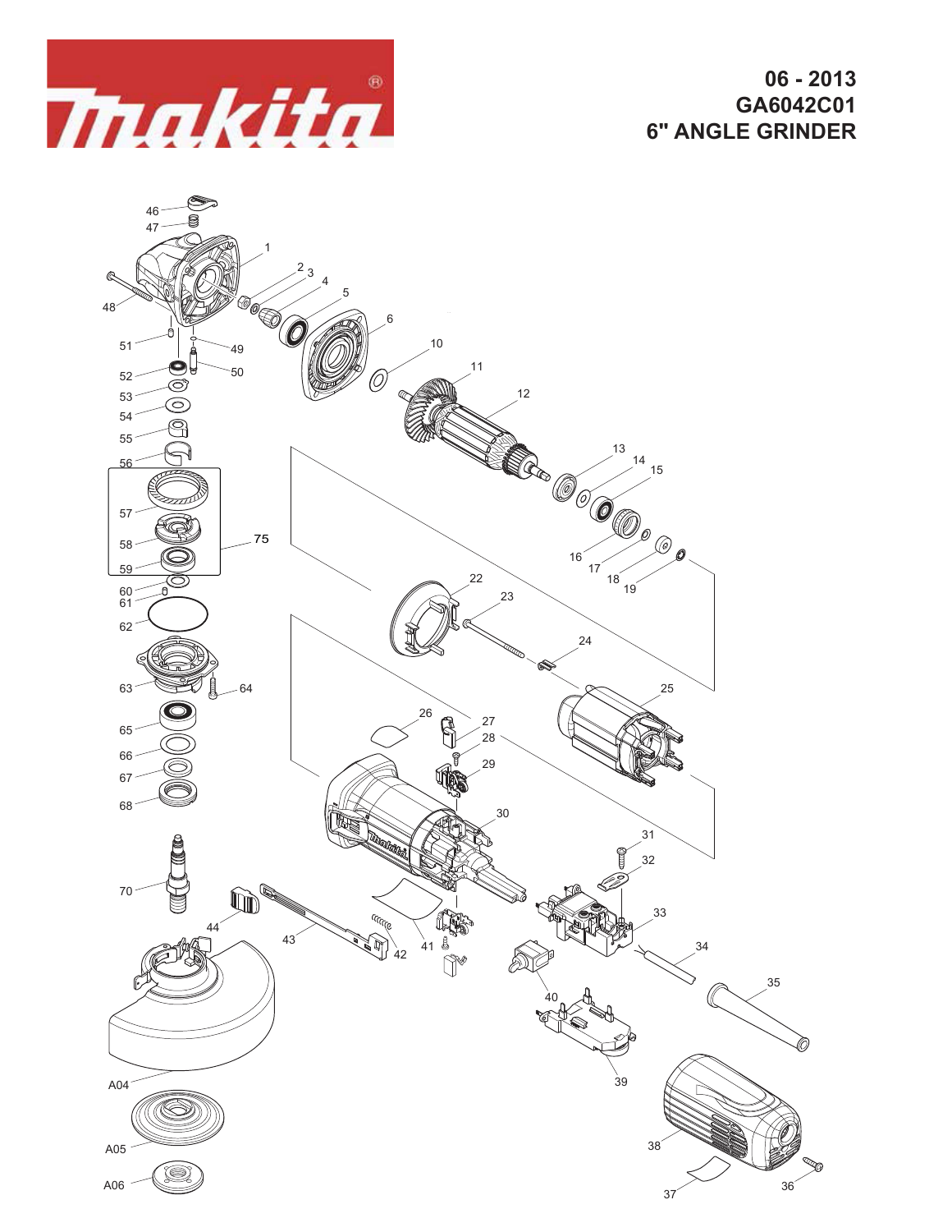

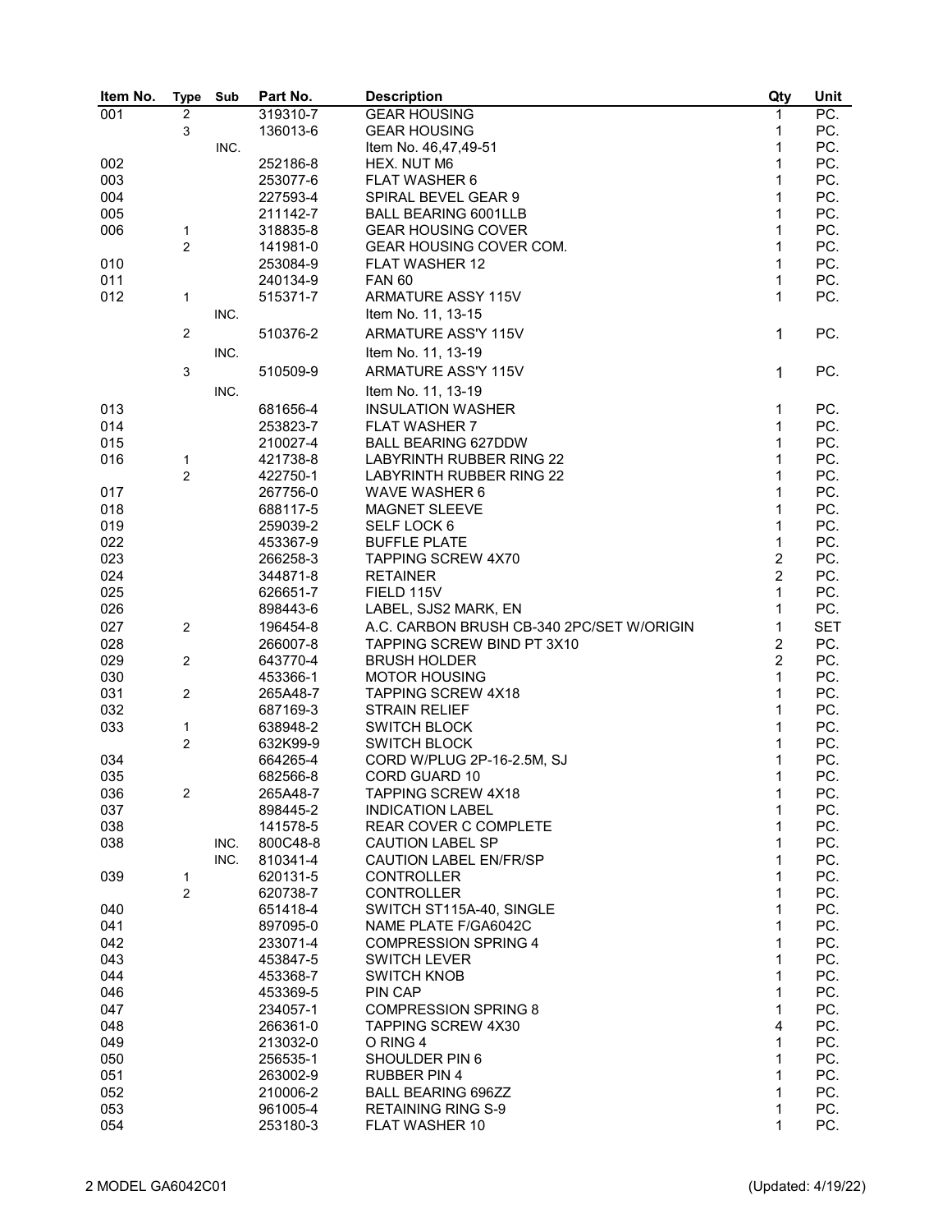| Item No. | <b>Type</b>    | Sub  | Part No. | <b>Description</b>                        | Qty            | Unit       |
|----------|----------------|------|----------|-------------------------------------------|----------------|------------|
| 001      | $\overline{2}$ |      | 319310-7 | <b>GEAR HOUSING</b>                       | 1              | PC.        |
|          | 3              |      | 136013-6 | <b>GEAR HOUSING</b>                       | 1              | PC.        |
|          |                | INC. |          | Item No. 46,47,49-51                      | 1              | PC.        |
| 002      |                |      | 252186-8 | HEX. NUT M6                               | 1              | PC.        |
| 003      |                |      | 253077-6 | FLAT WASHER 6                             | 1              | PC.        |
| 004      |                |      | 227593-4 | SPIRAL BEVEL GEAR 9                       | 1              | PC.        |
| 005      |                |      | 211142-7 | <b>BALL BEARING 6001LLB</b>               | 1              | PC.        |
| 006      | $\mathbf{1}$   |      | 318835-8 | <b>GEAR HOUSING COVER</b>                 | 1              | PC.        |
|          | $\overline{c}$ |      | 141981-0 | GEAR HOUSING COVER COM.                   | 1              | PC.        |
| 010      |                |      | 253084-9 | FLAT WASHER 12                            | 1              | PC.        |
| 011      |                |      | 240134-9 | <b>FAN 60</b>                             | 1              | PC.        |
| 012      | 1              |      | 515371-7 | <b>ARMATURE ASSY 115V</b>                 | 1              | PC.        |
|          |                | INC. |          | Item No. 11, 13-15                        |                |            |
|          |                |      |          |                                           |                |            |
|          | $\overline{2}$ |      | 510376-2 | ARMATURE ASS'Y 115V                       | $\mathbf 1$    | PC.        |
|          |                | INC. |          | Item No. 11, 13-19                        |                |            |
|          | 3              |      | 510509-9 | ARMATURE ASS'Y 115V                       | 1              | PC.        |
|          |                | INC. |          | Item No. 11, 13-19                        |                |            |
| 013      |                |      | 681656-4 | <b>INSULATION WASHER</b>                  | 1              | PC.        |
| 014      |                |      | 253823-7 | <b>FLAT WASHER 7</b>                      | 1              | PC.        |
| 015      |                |      | 210027-4 | <b>BALL BEARING 627DDW</b>                | 1              | PC.        |
| 016      | 1              |      | 421738-8 | <b>LABYRINTH RUBBER RING 22</b>           | 1              | PC.        |
|          | $\overline{c}$ |      | 422750-1 | LABYRINTH RUBBER RING 22                  | 1              | PC.        |
| 017      |                |      | 267756-0 | <b>WAVE WASHER 6</b>                      | 1              | PC.        |
| 018      |                |      | 688117-5 | <b>MAGNET SLEEVE</b>                      | 1              | PC.        |
| 019      |                |      | 259039-2 | SELF LOCK 6                               | 1              | PC.        |
| 022      |                |      | 453367-9 | <b>BUFFLE PLATE</b>                       | 1              | PC.        |
| 023      |                |      | 266258-3 | <b>TAPPING SCREW 4X70</b>                 | $\overline{c}$ | PC.        |
|          |                |      |          |                                           | $\overline{c}$ | PC.        |
| 024      |                |      | 344871-8 | <b>RETAINER</b>                           | 1              |            |
| 025      |                |      | 626651-7 | FIELD 115V                                |                | PC.        |
| 026      |                |      | 898443-6 | LABEL, SJS2 MARK, EN                      | 1              | PC.        |
| 027      | $\overline{2}$ |      | 196454-8 | A.C. CARBON BRUSH CB-340 2PC/SET W/ORIGIN | 1              | <b>SET</b> |
| 028      |                |      | 266007-8 | TAPPING SCREW BIND PT 3X10                | $\overline{2}$ | PC.        |
| 029      | 2              |      | 643770-4 | <b>BRUSH HOLDER</b>                       | $\overline{c}$ | PC.        |
| 030      |                |      | 453366-1 | <b>MOTOR HOUSING</b>                      | 1              | PC.        |
| 031      | $\overline{2}$ |      | 265A48-7 | <b>TAPPING SCREW 4X18</b>                 | 1              | PC.        |
| 032      |                |      | 687169-3 | <b>STRAIN RELIEF</b>                      | 1              | PC.        |
| 033      | $\mathbf{1}$   |      | 638948-2 | <b>SWITCH BLOCK</b>                       | 1              | PC.        |
|          | $\overline{c}$ |      | 632K99-9 | <b>SWITCH BLOCK</b>                       | 1              | PC.        |
| 034      |                |      | 664265-4 | CORD W/PLUG 2P-16-2.5M, SJ                | 1              | PC.        |
| 035      |                |      | 682566-8 | <b>CORD GUARD 10</b>                      | 1              | PC.        |
| 036      | 2              |      | 265A48-7 | TAPPING SCREW 4X18                        | 1              | PC.        |
| 037      |                |      | 898445-2 | <b>INDICATION LABEL</b>                   | 1              | PC.        |
| 038      |                |      | 141578-5 | REAR COVER C COMPLETE                     | 1              | PC.        |
| 038      |                | INC. | 800C48-8 | <b>CAUTION LABEL SP</b>                   | 1              | PC.        |
|          |                | INC. | 810341-4 | <b>CAUTION LABEL EN/FR/SP</b>             | 1              | PC.        |
| 039      | $\mathbf{1}$   |      | 620131-5 | <b>CONTROLLER</b>                         | 1              | PC.        |
|          | $\overline{2}$ |      | 620738-7 | <b>CONTROLLER</b>                         | 1              | PC.        |
| 040      |                |      | 651418-4 | SWITCH ST115A-40, SINGLE                  | 1              | PC.        |
| 041      |                |      | 897095-0 | NAME PLATE F/GA6042C                      | 1              | PC.        |
| 042      |                |      | 233071-4 | <b>COMPRESSION SPRING 4</b>               | 1              | PC.        |
| 043      |                |      | 453847-5 | <b>SWITCH LEVER</b>                       | 1              | PC.        |
| 044      |                |      | 453368-7 | <b>SWITCH KNOB</b>                        | 1              | PC.        |
| 046      |                |      | 453369-5 | PIN CAP                                   | 1              | PC.        |
| 047      |                |      | 234057-1 | <b>COMPRESSION SPRING 8</b>               | 1              | PC.        |
| 048      |                |      | 266361-0 | TAPPING SCREW 4X30                        | 4              | PC.        |
| 049      |                |      | 213032-0 | O RING 4                                  | 1              | PC.        |
| 050      |                |      | 256535-1 | SHOULDER PIN 6                            | 1              | PC.        |
| 051      |                |      | 263002-9 | <b>RUBBER PIN 4</b>                       | 1              | PC.        |
| 052      |                |      | 210006-2 | <b>BALL BEARING 696ZZ</b>                 | 1              | PC.        |
| 053      |                |      | 961005-4 | <b>RETAINING RING S-9</b>                 | 1              | PC.        |
| 054      |                |      | 253180-3 | FLAT WASHER 10                            | 1              | PC.        |